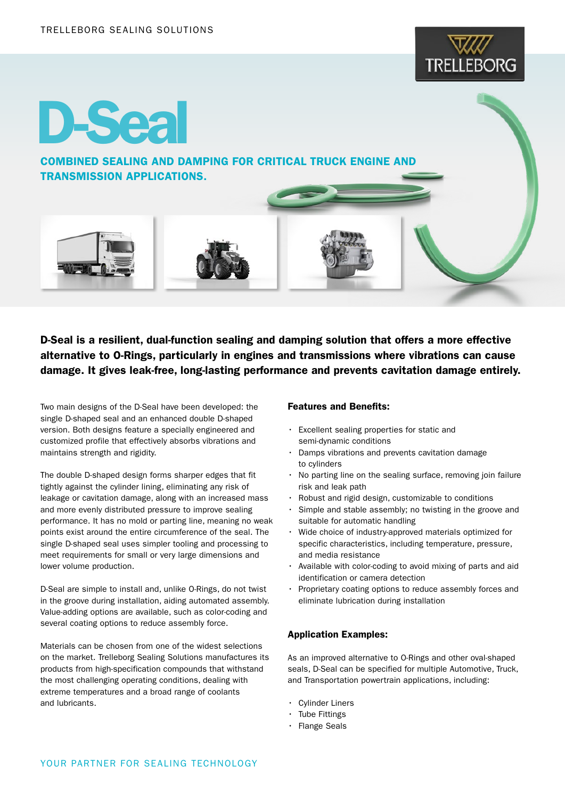

# D-Seal

COMBINED SEALING AND DAMPING FOR CRITICAL TRUCK ENGINE AND TRANSMISSION APPLICATIONS.

D-Seal is a resilient, dual-function sealing and damping solution that offers a more effective alternative to O-Rings, particularly in engines and transmissions where vibrations can cause damage. It gives leak-free, long-lasting performance and prevents cavitation damage entirely.

Two main designs of the D-Seal have been developed: the single D-shaped seal and an enhanced double D-shaped version. Both designs feature a specially engineered and customized profile that effectively absorbs vibrations and maintains strength and rigidity.

The double D-shaped design forms sharper edges that fit tightly against the cylinder lining, eliminating any risk of leakage or cavitation damage, along with an increased mass and more evenly distributed pressure to improve sealing performance. It has no mold or parting line, meaning no weak points exist around the entire circumference of the seal. The single D-shaped seal uses simpler tooling and processing to meet requirements for small or very large dimensions and lower volume production.

D-Seal are simple to install and, unlike O-Rings, do not twist in the groove during installation, aiding automated assembly. Value-adding options are available, such as color-coding and several coating options to reduce assembly force.

Materials can be chosen from one of the widest selections on the market. Trelleborg Sealing Solutions manufactures its products from high-specification compounds that withstand the most challenging operating conditions, dealing with extreme temperatures and a broad range of coolants and lubricants.

## Features and Benefits:

- Excellent sealing properties for static and semi-dynamic conditions
- Damps vibrations and prevents cavitation damage to cylinders
- No parting line on the sealing surface, removing join failure risk and leak path
- Robust and rigid design, customizable to conditions
- Simple and stable assembly; no twisting in the groove and suitable for automatic handling
- Wide choice of industry-approved materials optimized for specific characteristics, including temperature, pressure, and media resistance
- Available with color-coding to avoid mixing of parts and aid identification or camera detection
- Proprietary coating options to reduce assembly forces and eliminate lubrication during installation

## Application Examples:

As an improved alternative to O-Rings and other oval-shaped seals, D-Seal can be specified for multiple Automotive, Truck, and Transportation powertrain applications, including:

- Cylinder Liners
- Tube Fittings
- Flange Seals